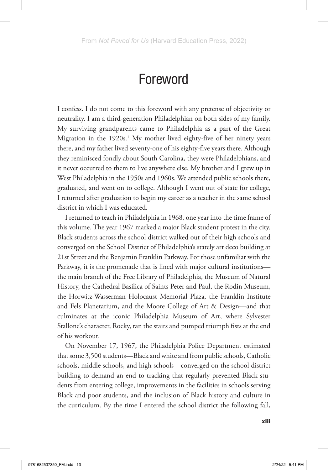## Foreword

I confess. I do not come to this foreword with any pretense of objectivity or neutrality. I am a third-generation Philadelphian on both sides of my family. My surviving grandparents came to Philadelphia as a part of the Great Migration in the 1920s.<sup>1</sup> My mother lived eighty-five of her ninety years there, and my father lived seventy-one of his eighty-five years there. Although they reminisced fondly about South Carolina, they were Philadelphians, and it never occurred to them to live anywhere else. My brother and I grew up in West Philadelphia in the 1950s and 1960s. We attended public schools there, graduated, and went on to college. Although I went out of state for college, I returned after graduation to begin my career as a teacher in the same school district in which I was educated.

I returned to teach in Philadelphia in 1968, one year into the time frame of this volume. The year 1967 marked a major Black student protest in the city. Black students across the school district walked out of their high schools and converged on the School District of Philadelphia's stately art deco building at 21st Street and the Benjamin Franklin Parkway. For those unfamiliar with the Parkway, it is the promenade that is lined with major cultural institutions the main branch of the Free Library of Philadelphia, the Museum of Natural History, the Cathedral Basilica of Saints Peter and Paul, the Rodin Museum, the Horwitz-Wasserman Holocaust Memorial Plaza, the Franklin Institute and Fels Planetarium, and the Moore College of Art & Design—and that culminates at the iconic Philadelphia Museum of Art, where Sylvester Stallone's character, Rocky, ran the stairs and pumped triumph fists at the end of his workout.

On November 17, 1967, the Philadelphia Police Department estimated that some 3,500 students—Black and white and from public schools, Catholic schools, middle schools, and high schools—converged on the school district building to demand an end to tracking that regularly prevented Black students from entering college, improvements in the facilities in schools serving Black and poor students, and the inclusion of Black history and culture in the curriculum. By the time I entered the school district the following fall,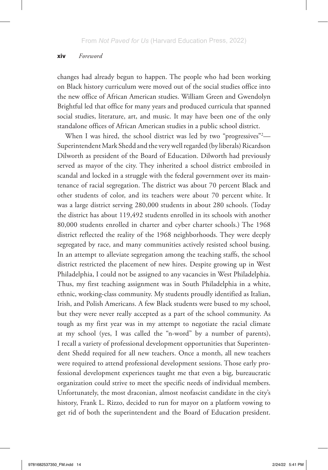## xiv*Foreword*

changes had already begun to happen. The people who had been working on Black history curriculum were moved out of the social studies office into the new office of African American studies. William Green and Gwendolyn Brightful led that office for many years and produced curricula that spanned social studies, literature, art, and music. It may have been one of the only standalone offices of African American studies in a public school district.

When I was hired, the school district was led by two "progressives"<sup>2</sup>-Superintendent Mark Shedd and the very well regarded (by liberals) Ricardson Dilworth as president of the Board of Education. Dilworth had previously served as mayor of the city. They inherited a school district embroiled in scandal and locked in a struggle with the federal government over its maintenance of racial segregation. The district was about 70 percent Black and other students of color, and its teachers were about 70 percent white. It was a large district serving 280,000 students in about 280 schools. (Today the district has about 119,492 students enrolled in its schools with another 80,000 students enrolled in charter and cyber charter schools.) The 1968 district reflected the reality of the 1968 neighborhoods. They were deeply segregated by race, and many communities actively resisted school busing. In an attempt to alleviate segregation among the teaching staffs, the school district restricted the placement of new hires. Despite growing up in West Philadelphia, I could not be assigned to any vacancies in West Philadelphia. Thus, my first teaching assignment was in South Philadelphia in a white, ethnic, working-class community. My students proudly identified as Italian, Irish, and Polish Americans. A few Black students were bused to my school, but they were never really accepted as a part of the school community. As tough as my first year was in my attempt to negotiate the racial climate at my school (yes, I was called the "n-word" by a number of parents), I recall a variety of professional development opportunities that Superintendent Shedd required for all new teachers. Once a month, all new teachers were required to attend professional development sessions. Those early professional development experiences taught me that even a big, bureaucratic organization could strive to meet the specific needs of individual members. Unfortunately, the most draconian, almost neofascist candidate in the city's history, Frank L. Rizzo, decided to run for mayor on a platform vowing to get rid of both the superintendent and the Board of Education president.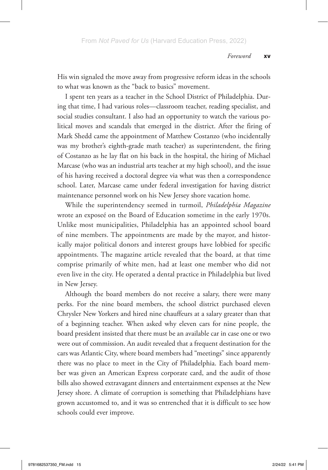His win signaled the move away from progressive reform ideas in the schools to what was known as the "back to basics" movement.

I spent ten years as a teacher in the School District of Philadelphia. During that time, I had various roles—classroom teacher, reading specialist, and social studies consultant. I also had an opportunity to watch the various political moves and scandals that emerged in the district. After the firing of Mark Shedd came the appointment of Matthew Costanzo (who incidentally was my brother's eighth-grade math teacher) as superintendent, the firing of Costanzo as he lay flat on his back in the hospital, the hiring of Michael Marcase (who was an industrial arts teacher at my high school), and the issue of his having received a doctoral degree via what was then a correspondence school. Later, Marcase came under federal investigation for having district maintenance personnel work on his New Jersey shore vacation home.

While the superintendency seemed in turmoil, *Philadelphia Magazine* wrote an exposeé on the Board of Education sometime in the early 1970s. Unlike most municipalities, Philadelphia has an appointed school board of nine members. The appointments are made by the mayor, and historically major political donors and interest groups have lobbied for specific appointments. The magazine article revealed that the board, at that time comprise primarily of white men, had at least one member who did not even live in the city. He operated a dental practice in Philadelphia but lived in New Jersey.

Although the board members do not receive a salary, there were many perks. For the nine board members, the school district purchased eleven Chrysler New Yorkers and hired nine chauffeurs at a salary greater than that of a beginning teacher. When asked why eleven cars for nine people, the board president insisted that there must be an available car in case one or two were out of commission. An audit revealed that a frequent destination for the cars was Atlantic City, where board members had "meetings" since apparently there was no place to meet in the City of Philadelphia. Each board member was given an American Express corporate card, and the audit of those bills also showed extravagant dinners and entertainment expenses at the New Jersey shore. A climate of corruption is something that Philadelphians have grown accustomed to, and it was so entrenched that it is difficult to see how schools could ever improve.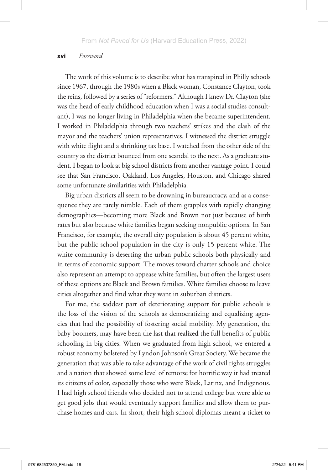## xvi*Foreword*

The work of this volume is to describe what has transpired in Philly schools since 1967, through the 1980s when a Black woman, Constance Clayton, took the reins, followed by a series of "reformers." Although I knew Dr. Clayton (she was the head of early childhood education when I was a social studies consultant), I was no longer living in Philadelphia when she became superintendent. I worked in Philadelphia through two teachers' strikes and the clash of the mayor and the teachers' union representatives. I witnessed the district struggle with white flight and a shrinking tax base. I watched from the other side of the country as the district bounced from one scandal to the next. As a graduate student, I began to look at big school districts from another vantage point. I could see that San Francisco, Oakland, Los Angeles, Houston, and Chicago shared some unfortunate similarities with Philadelphia.

Big urban districts all seem to be drowning in bureaucracy, and as a consequence they are rarely nimble. Each of them grapples with rapidly changing demographics—becoming more Black and Brown not just because of birth rates but also because white families began seeking nonpublic options. In San Francisco, for example, the overall city population is about 45 percent white, but the public school population in the city is only 15 percent white. The white community is deserting the urban public schools both physically and in terms of economic support. The moves toward charter schools and choice also represent an attempt to appease white families, but often the largest users of these options are Black and Brown families. White families choose to leave cities altogether and find what they want in suburban districts.

For me, the saddest part of deteriorating support for public schools is the loss of the vision of the schools as democratizing and equalizing agencies that had the possibility of fostering social mobility. My generation, the baby boomers, may have been the last that realized the full benefits of public schooling in big cities. When we graduated from high school, we entered a robust economy bolstered by Lyndon Johnson's Great Society. We became the generation that was able to take advantage of the work of civil rights struggles and a nation that showed some level of remorse for horrific way it had treated its citizens of color, especially those who were Black, Latinx, and Indigenous. I had high school friends who decided not to attend college but were able to get good jobs that would eventually support families and allow them to purchase homes and cars. In short, their high school diplomas meant a ticket to